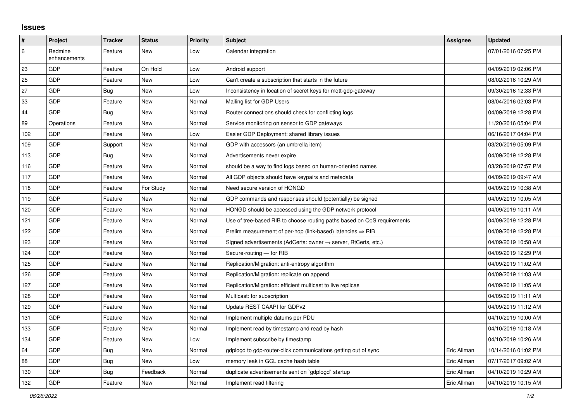## **Issues**

| $\pmb{\sharp}$ | Project                 | <b>Tracker</b> | <b>Status</b> | <b>Priority</b> | <b>Subject</b>                                                             | Assignee    | <b>Updated</b>      |
|----------------|-------------------------|----------------|---------------|-----------------|----------------------------------------------------------------------------|-------------|---------------------|
| 6              | Redmine<br>enhancements | Feature        | <b>New</b>    | Low             | Calendar integration                                                       |             | 07/01/2016 07:25 PM |
| 23             | <b>GDP</b>              | Feature        | On Hold       | Low             | Android support                                                            |             | 04/09/2019 02:06 PM |
| 25             | GDP                     | Feature        | <b>New</b>    | Low             | Can't create a subscription that starts in the future                      |             | 08/02/2016 10:29 AM |
| 27             | <b>GDP</b>              | Bug            | <b>New</b>    | Low             | Inconsistency in location of secret keys for mqtt-gdp-gateway              |             | 09/30/2016 12:33 PM |
| 33             | GDP                     | Feature        | New           | Normal          | Mailing list for GDP Users                                                 |             | 08/04/2016 02:03 PM |
| 44             | <b>GDP</b>              | Bug            | <b>New</b>    | Normal          | Router connections should check for conflicting logs                       |             | 04/09/2019 12:28 PM |
| 89             | Operations              | Feature        | New           | Normal          | Service monitoring on sensor to GDP gateways                               |             | 11/20/2016 05:04 PM |
| 102            | GDP                     | Feature        | <b>New</b>    | Low             | Easier GDP Deployment: shared library issues                               |             | 06/16/2017 04:04 PM |
| 109            | <b>GDP</b>              | Support        | New           | Normal          | GDP with accessors (an umbrella item)                                      |             | 03/20/2019 05:09 PM |
| 113            | GDP                     | Bug            | <b>New</b>    | Normal          | Advertisements never expire                                                |             | 04/09/2019 12:28 PM |
| 116            | GDP                     | Feature        | <b>New</b>    | Normal          | should be a way to find logs based on human-oriented names                 |             | 03/28/2019 07:57 PM |
| 117            | GDP                     | Feature        | <b>New</b>    | Normal          | All GDP objects should have keypairs and metadata                          |             | 04/09/2019 09:47 AM |
| 118            | GDP                     | Feature        | For Study     | Normal          | Need secure version of HONGD                                               |             | 04/09/2019 10:38 AM |
| 119            | <b>GDP</b>              | Feature        | New           | Normal          | GDP commands and responses should (potentially) be signed                  |             | 04/09/2019 10:05 AM |
| 120            | GDP                     | Feature        | New           | Normal          | HONGD should be accessed using the GDP network protocol                    |             | 04/09/2019 10:11 AM |
| 121            | <b>GDP</b>              | Feature        | <b>New</b>    | Normal          | Use of tree-based RIB to choose routing paths based on QoS requirements    |             | 04/09/2019 12:28 PM |
| 122            | GDP                     | Feature        | <b>New</b>    | Normal          | Prelim measurement of per-hop (link-based) latencies $\Rightarrow$ RIB     |             | 04/09/2019 12:28 PM |
| 123            | GDP                     | Feature        | New           | Normal          | Signed advertisements (AdCerts: owner $\rightarrow$ server, RtCerts, etc.) |             | 04/09/2019 10:58 AM |
| 124            | <b>GDP</b>              | Feature        | New           | Normal          | Secure-routing - for RIB                                                   |             | 04/09/2019 12:29 PM |
| 125            | GDP                     | Feature        | <b>New</b>    | Normal          | Replication/Migration: anti-entropy algorithm                              |             | 04/09/2019 11:02 AM |
| 126            | <b>GDP</b>              | Feature        | <b>New</b>    | Normal          | Replication/Migration: replicate on append                                 |             | 04/09/2019 11:03 AM |
| 127            | GDP                     | Feature        | <b>New</b>    | Normal          | Replication/Migration: efficient multicast to live replicas                |             | 04/09/2019 11:05 AM |
| 128            | <b>GDP</b>              | Feature        | <b>New</b>    | Normal          | Multicast: for subscription                                                |             | 04/09/2019 11:11 AM |
| 129            | GDP                     | Feature        | <b>New</b>    | Normal          | Update REST CAAPI for GDPv2                                                |             | 04/09/2019 11:12 AM |
| 131            | GDP                     | Feature        | <b>New</b>    | Normal          | Implement multiple datums per PDU                                          |             | 04/10/2019 10:00 AM |
| 133            | GDP                     | Feature        | New           | Normal          | Implement read by timestamp and read by hash                               |             | 04/10/2019 10:18 AM |
| 134            | GDP                     | Feature        | <b>New</b>    | Low             | Implement subscribe by timestamp                                           |             | 04/10/2019 10:26 AM |
| 64             | <b>GDP</b>              | Bug            | <b>New</b>    | Normal          | gdplogd to gdp-router-click communications getting out of sync             | Eric Allman | 10/14/2016 01:02 PM |
| 88             | <b>GDP</b>              | Bug            | New           | Low             | memory leak in GCL cache hash table                                        | Eric Allman | 07/17/2017 09:02 AM |
| 130            | GDP                     | <b>Bug</b>     | Feedback      | Normal          | duplicate advertisements sent on `gdplogd` startup                         | Eric Allman | 04/10/2019 10:29 AM |
| 132            | <b>GDP</b>              | Feature        | New           | Normal          | Implement read filtering                                                   | Eric Allman | 04/10/2019 10:15 AM |